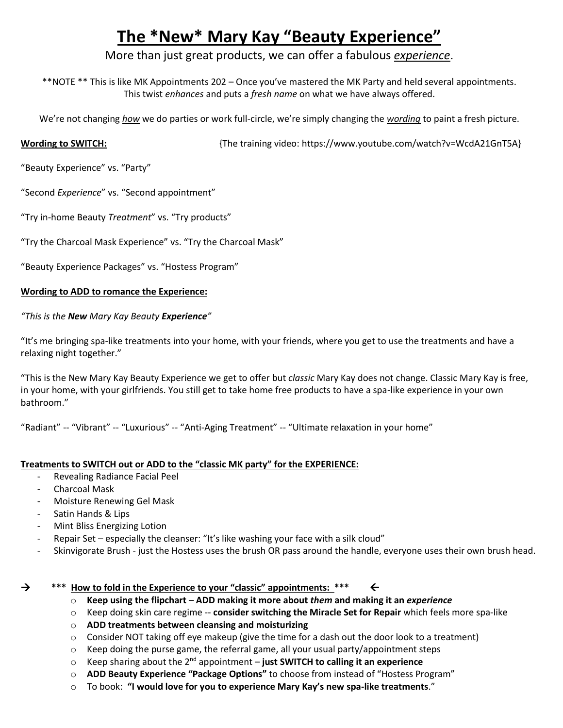# **The \*New\* Mary Kay "Beauty Experience"**

More than just great products, we can offer a fabulous *experience*.

\*\*NOTE \*\* This is like MK Appointments 202 – Once you've mastered the MK Party and held several appointments. This twist *enhances* and puts a *fresh name* on what we have always offered.

We're not changing *how* we do parties or work full-circle, we're simply changing the *wording* to paint a fresh picture.

**Wording to SWITCH:** {The training video: https://www.youtube.com/watch?v=WcdA21GnT5A}

"Beauty Experience" vs. "Party"

"Second *Experience*" vs. "Second appointment"

"Try in-home Beauty *Treatment*" vs. "Try products"

"Try the Charcoal Mask Experience" vs. "Try the Charcoal Mask"

"Beauty Experience Packages" vs. "Hostess Program"

### **Wording to ADD to romance the Experience:**

*"This is the New Mary Kay Beauty Experience"*

"It's me bringing spa-like treatments into your home, with your friends, where you get to use the treatments and have a relaxing night together."

"This is the New Mary Kay Beauty Experience we get to offer but *classic* Mary Kay does not change. Classic Mary Kay is free, in your home, with your girlfriends. You still get to take home free products to have a spa-like experience in your own bathroom."

"Radiant" -- "Vibrant" -- "Luxurious" -- "Anti-Aging Treatment" -- "Ultimate relaxation in your home"

### **Treatments to SWITCH out or ADD to the "classic MK party" for the EXPERIENCE:**

- Revealing Radiance Facial Peel
- Charcoal Mask
- Moisture Renewing Gel Mask
- Satin Hands & Lips
- Mint Bliss Energizing Lotion
- Repair Set especially the cleanser: "It's like washing your face with a silk cloud"
- Skinvigorate Brush just the Hostess uses the brush OR pass around the handle, everyone uses their own brush head.

#### **\*\*\* How to fold in the Experience to your "classic" appointments: \*\*\***

- o **Keep using the flipchart ADD making it more about** *them* **and making it an** *experience*
- o Keep doing skin care regime -- **consider switching the Miracle Set for Repair** which feels more spa-like
- o **ADD treatments between cleansing and moisturizing**
- o Consider NOT taking off eye makeup (give the time for a dash out the door look to a treatment)
- $\circ$  Keep doing the purse game, the referral game, all your usual party/appointment steps
- o Keep sharing about the 2nd appointment **just SWITCH to calling it an experience**
- o **ADD Beauty Experience "Package Options"** to choose from instead of "Hostess Program"
- o To book: **"I would love for you to experience Mary Kay's new spa-like treatments**."